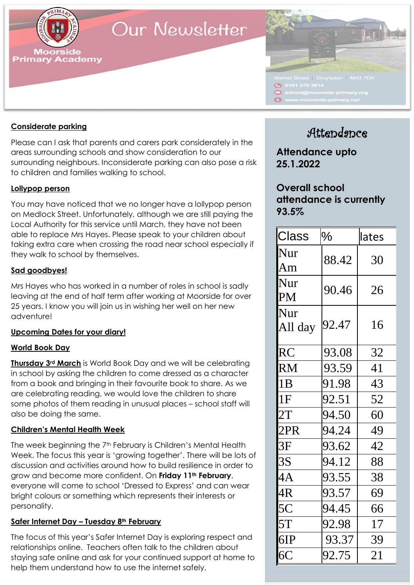

# Our Newsletter



### **Considerate parking**

Please can I ask that parents and carers park considerately in the areas surrounding schools and show consideration to our surrounding neighbours. Inconsiderate parking can also pose a risk to children and families walking to school.

### **Lollypop person**

You may have noticed that we no longer have a lollypop person on Medlock Street. Unfortunately, although we are still paying the Local Authority for this service until March, they have not been able to replace Mrs Hayes. Please speak to your children about taking extra care when crossing the road near school especially if they walk to school by themselves.

### **Sad goodbyes!**

Mrs Hayes who has worked in a number of roles in school is sadly leaving at the end of half term after working at Moorside for over 25 years. I know you will join us in wishing her well on her new adventure!

### **Upcoming Dates for your diary!**

### **World Book Day**

**Thursday 3rd March** is World Book Day and we will be celebrating in school by asking the children to come dressed as a character from a book and bringing in their favourite book to share. As we are celebrating reading, we would love the children to share some photos of them reading in unusual places – school staff will also be doing the same.

### **Children's Mental Health Week**

The week beginning the 7<sup>th</sup> February is Children's Mental Health Week. The focus this year is 'growing together'. There will be lots of discussion and activities around how to build resilience in order to grow and become more confident. On **Friday 11th February**, everyone will come to school 'Dressed to Express' and can wear bright colours or something which represents their interests or personality.

### **Safer Internet Day – Tuesday 8th February**

**School website:** The focus of this year's Safer Internet Day is exploring respect and relationships online. Teachers often talk to the children about help them understand how to use the internet safely. staying safe online and ask for your continued support at home to

### Attendance

**Attendance upto 25.1.2022**

### **Overall school attendance is currently 93.5%**

| <b>Class</b>   | $\%$  | lates |  |
|----------------|-------|-------|--|
| Nur<br>Am      | 88.42 | 30    |  |
| Nur<br>PM      | 90.46 | 26    |  |
| Nur<br>All day | 92.47 | 16    |  |
| <b>RC</b>      | 93.08 | 32    |  |
| <b>RM</b>      | 93.59 | 41    |  |
| 1B             | 91.98 | 43    |  |
| 1F             | 92.51 | 52    |  |
| 2T             | 94.50 | 60    |  |
| 2PR            | 94.24 | 49    |  |
| 3F             | 93.62 | 42    |  |
| 3S             | 94.12 | 88    |  |
| 4A             | 93.55 | 38    |  |
| 4R             | 93.57 | 69    |  |
| 5C             | 94.45 | 66    |  |
| 5T             | 92.98 | 17    |  |
| 6IP            | 93.37 | 39    |  |
| 6C             | 92.75 | 21    |  |